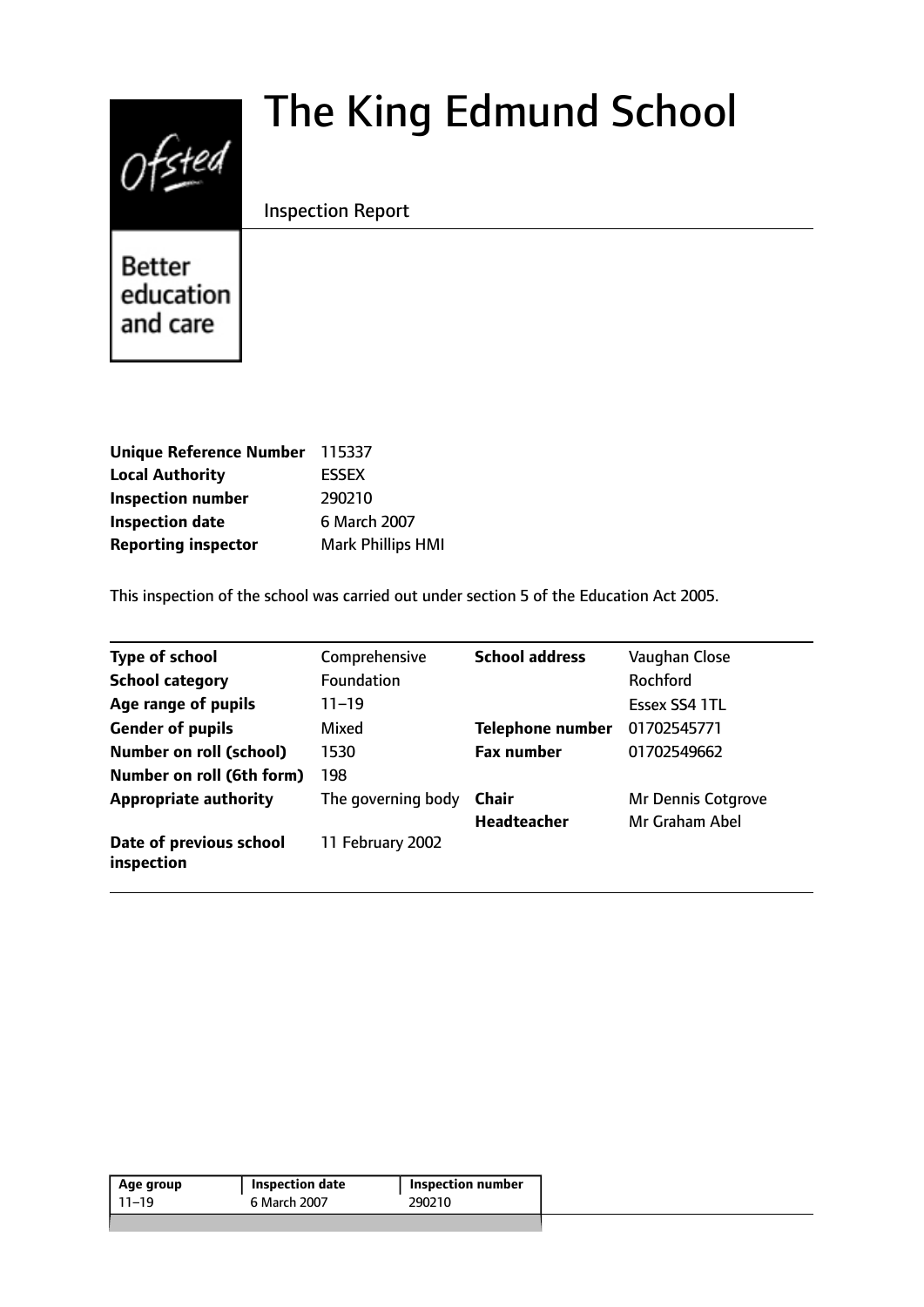# $0$ fsted

# The King Edmund School

Inspection Report

**Better** education and care

| Unique Reference Number 115337 |
|--------------------------------|
| <b>ESSEX</b>                   |
| 290210                         |
| 6 March 2007                   |
| <b>Mark Phillips HMI</b>       |
|                                |

This inspection of the school was carried out under section 5 of the Education Act 2005.

| <b>Type of school</b>                 | Comprehensive      | <b>School address</b>   | Vaughan Close             |
|---------------------------------------|--------------------|-------------------------|---------------------------|
| <b>School category</b>                | <b>Foundation</b>  |                         | <b>Rochford</b>           |
| Age range of pupils                   | $11 - 19$          |                         | Essex SS4 1TL             |
| <b>Gender of pupils</b>               | Mixed              | <b>Telephone number</b> | 01702545771               |
| <b>Number on roll (school)</b>        | 1530               | <b>Fax number</b>       | 01702549662               |
| Number on roll (6th form)             | 198                |                         |                           |
| <b>Appropriate authority</b>          | The governing body | Chair                   | <b>Mr Dennis Cotgrove</b> |
|                                       |                    | <b>Headteacher</b>      | Mr Graham Abel            |
| Date of previous school<br>inspection | 11 February 2002   |                         |                           |

| 11–19 | 6 March 2007 | 290210 |
|-------|--------------|--------|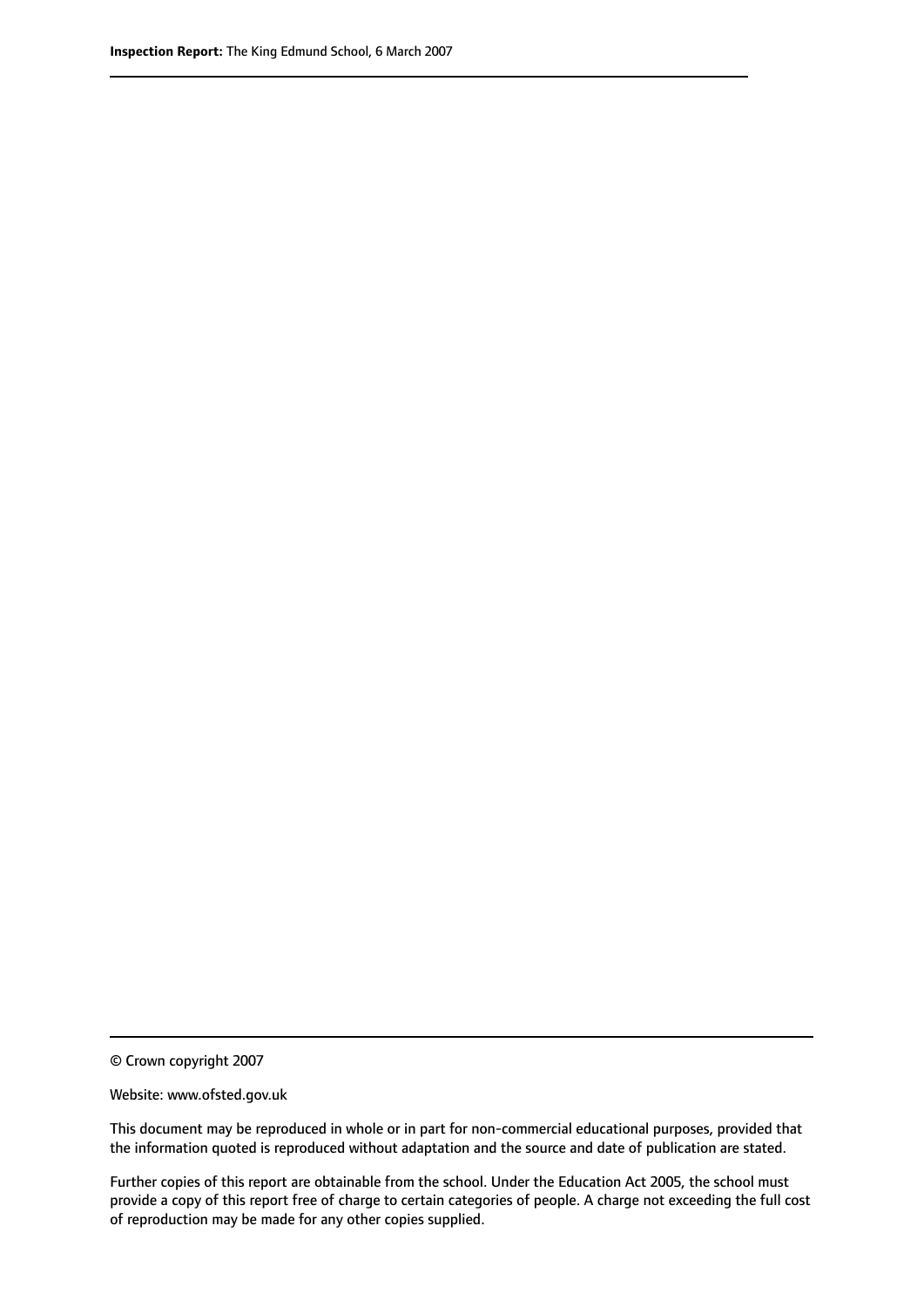© Crown copyright 2007

Website: www.ofsted.gov.uk

This document may be reproduced in whole or in part for non-commercial educational purposes, provided that the information quoted is reproduced without adaptation and the source and date of publication are stated.

Further copies of this report are obtainable from the school. Under the Education Act 2005, the school must provide a copy of this report free of charge to certain categories of people. A charge not exceeding the full cost of reproduction may be made for any other copies supplied.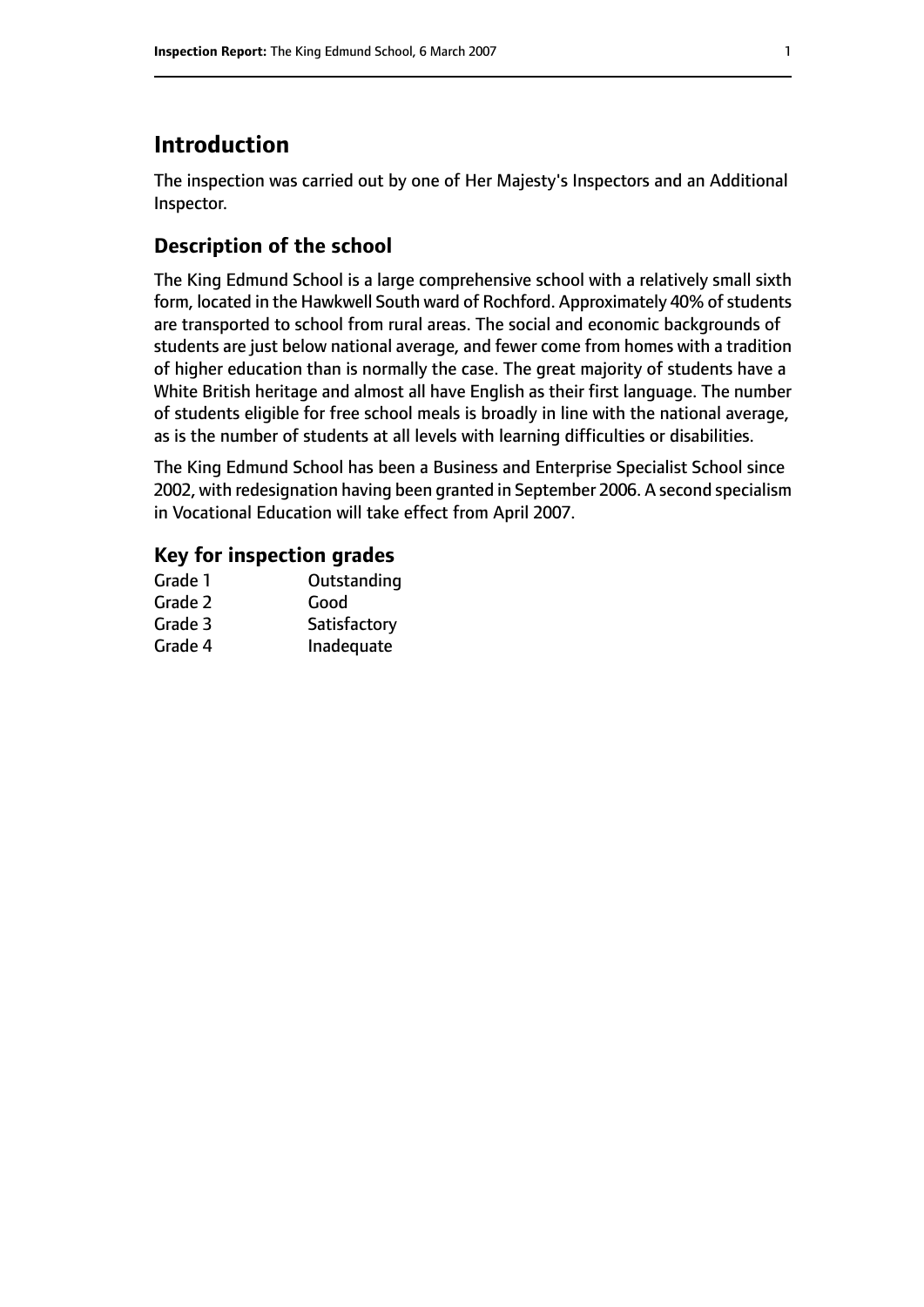# **Introduction**

The inspection was carried out by one of Her Majesty's Inspectors and an Additional Inspector.

# **Description of the school**

The King Edmund School is a large comprehensive school with a relatively small sixth form, located in the Hawkwell South ward of Rochford. Approximately 40% of students are transported to school from rural areas. The social and economic backgrounds of students are just below national average, and fewer come from homes with a tradition of higher education than is normally the case. The great majority of students have a White British heritage and almost all have English as their first language. The number of students eligible for free school meals is broadly in line with the national average, as is the number of students at all levels with learning difficulties or disabilities.

The King Edmund School has been a Business and Enterprise Specialist School since 2002, with redesignation having been granted in September 2006. A second specialism in Vocational Education will take effect from April 2007.

#### **Key for inspection grades**

| Grade 1 | Outstanding  |
|---------|--------------|
| Grade 2 | Good         |
| Grade 3 | Satisfactory |
| Grade 4 | Inadequate   |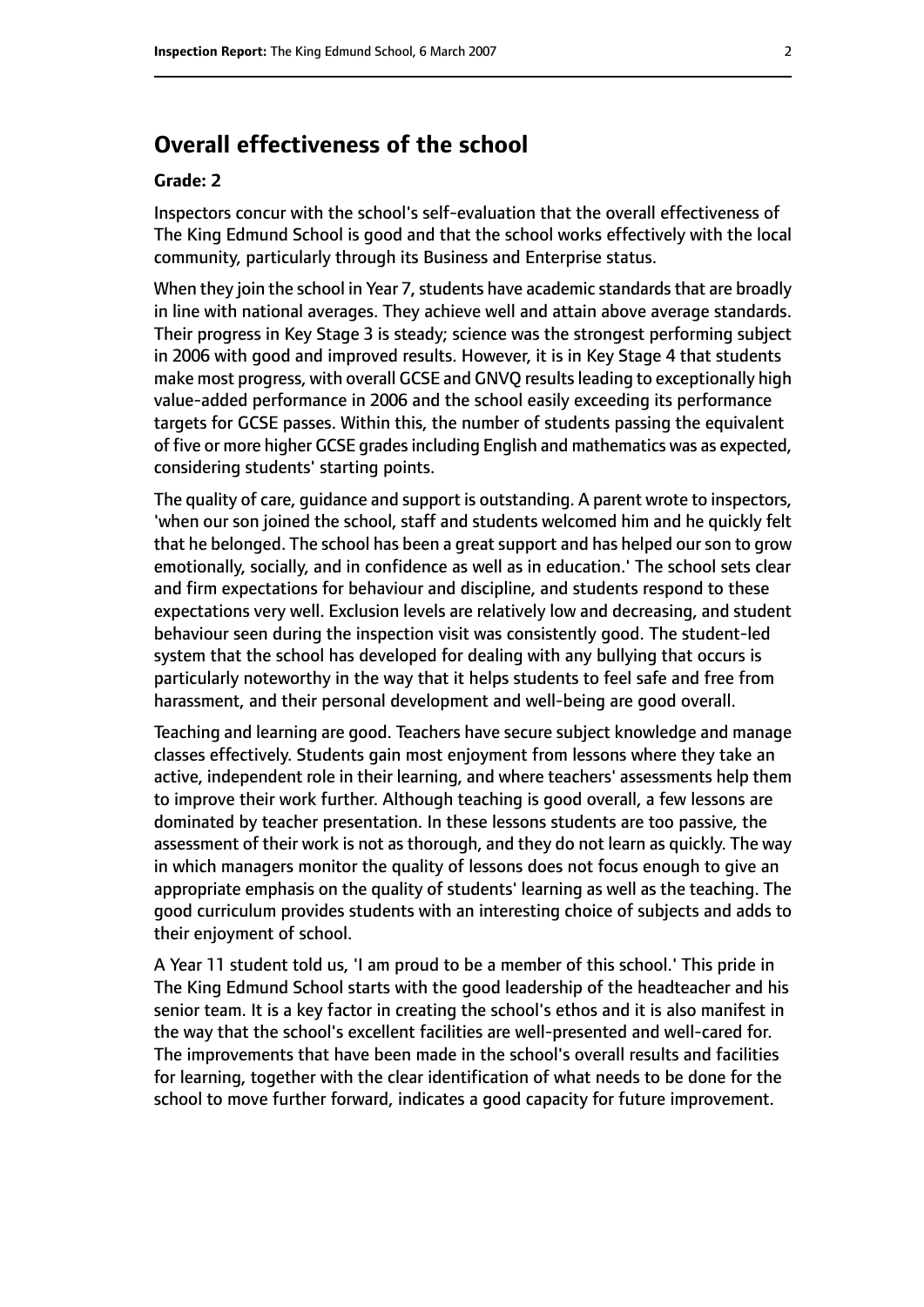# **Overall effectiveness of the school**

#### **Grade: 2**

Inspectors concur with the school's self-evaluation that the overall effectiveness of The King Edmund School is good and that the school works effectively with the local community, particularly through its Business and Enterprise status.

When they join the school in Year 7, students have academic standards that are broadly in line with national averages. They achieve well and attain above average standards. Their progress in Key Stage 3 is steady; science was the strongest performing subject in 2006 with good and improved results. However, it is in Key Stage 4 that students make most progress, with overall GCSE and GNVQ resultsleading to exceptionally high value-added performance in 2006 and the school easily exceeding its performance targets for GCSE passes. Within this, the number of students passing the equivalent of five or more higher GCSE grades including English and mathematics was as expected, considering students' starting points.

The quality of care, guidance and support is outstanding. A parent wrote to inspectors, 'when our son joined the school, staff and students welcomed him and he quickly felt that he belonged. The school has been a great support and has helped our son to grow emotionally, socially, and in confidence as well as in education.' The school sets clear and firm expectations for behaviour and discipline, and students respond to these expectations very well. Exclusion levels are relatively low and decreasing, and student behaviour seen during the inspection visit was consistently good. The student-led system that the school has developed for dealing with any bullying that occurs is particularly noteworthy in the way that it helps students to feel safe and free from harassment, and their personal development and well-being are good overall.

Teaching and learning are good. Teachers have secure subject knowledge and manage classes effectively. Students gain most enjoyment from lessons where they take an active, independent role in their learning, and where teachers' assessments help them to improve their work further. Although teaching is good overall, a few lessons are dominated by teacher presentation. In these lessons students are too passive, the assessment of their work is not as thorough, and they do not learn as quickly. The way in which managers monitor the quality of lessons does not focus enough to give an appropriate emphasis on the quality of students' learning as well as the teaching. The good curriculum provides students with an interesting choice of subjects and adds to their enjoyment of school.

A Year 11 student told us, 'I am proud to be a member of this school.' This pride in The King Edmund School starts with the good leadership of the headteacher and his senior team. It is a key factor in creating the school's ethos and it is also manifest in the way that the school's excellent facilities are well-presented and well-cared for. The improvements that have been made in the school's overall results and facilities for learning, together with the clear identification of what needs to be done for the school to move further forward, indicates a good capacity for future improvement.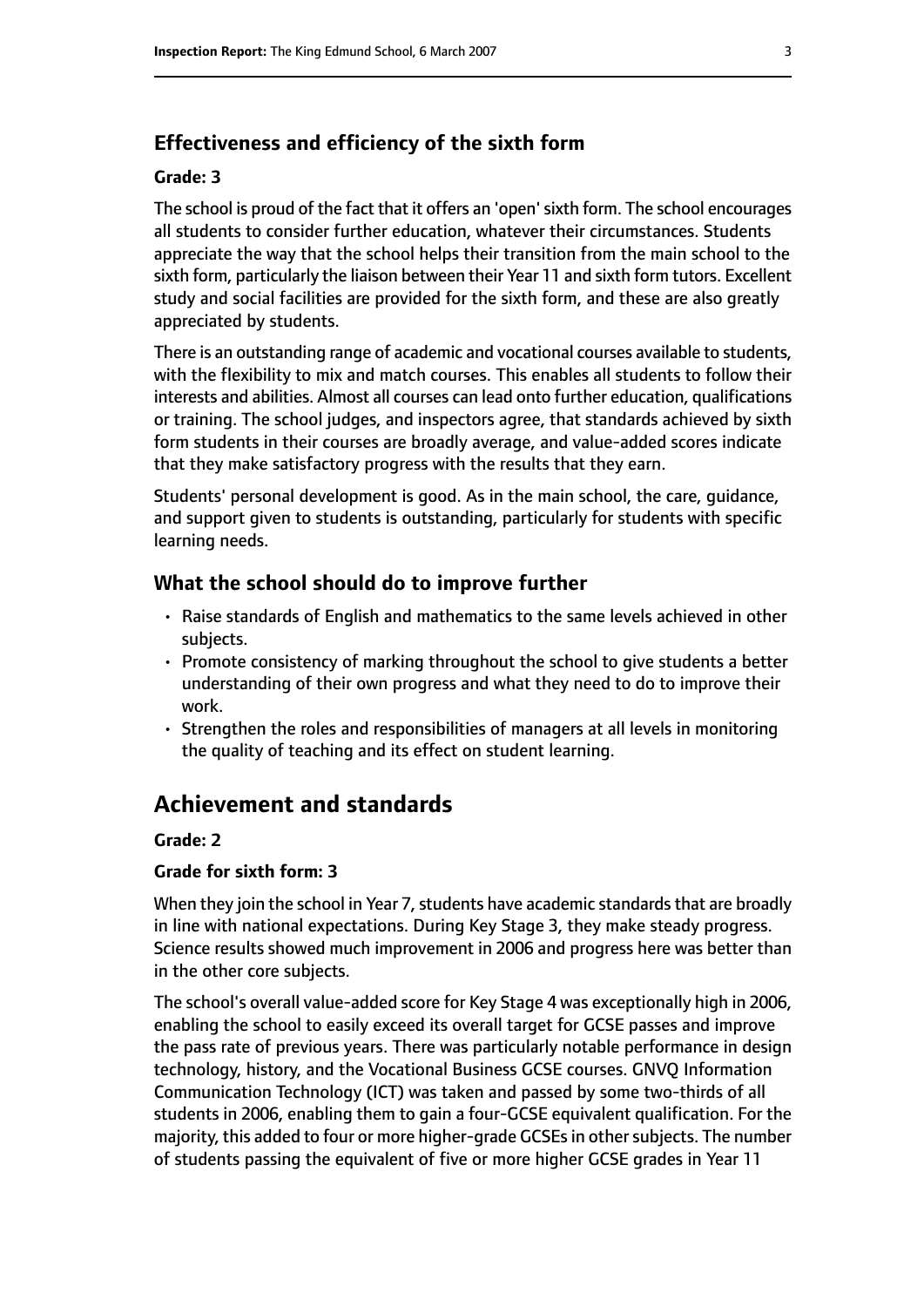#### **Effectiveness and efficiency of the sixth form**

#### **Grade: 3**

The school is proud of the fact that it offers an 'open'sixth form. The school encourages all students to consider further education, whatever their circumstances. Students appreciate the way that the school helps their transition from the main school to the sixth form, particularly the liaison between their Year 11 and sixth form tutors. Excellent study and social facilities are provided for the sixth form, and these are also greatly appreciated by students.

There is an outstanding range of academic and vocational courses available to students, with the flexibility to mix and match courses. This enables all students to follow their interests and abilities. Almost all courses can lead onto further education, qualifications or training. The school judges, and inspectors agree, that standards achieved by sixth form students in their courses are broadly average, and value-added scores indicate that they make satisfactory progress with the results that they earn.

Students' personal development is good. As in the main school, the care, guidance, and support given to students is outstanding, particularly for students with specific learning needs.

#### **What the school should do to improve further**

- Raise standards of English and mathematics to the same levels achieved in other subjects.
- Promote consistency of marking throughout the school to give students a better understanding of their own progress and what they need to do to improve their work.
- Strengthen the roles and responsibilities of managers at all levels in monitoring the quality of teaching and its effect on student learning.

# **Achievement and standards**

#### **Grade: 2**

#### **Grade for sixth form: 3**

When they join the school in Year 7, students have academic standards that are broadly in line with national expectations. During Key Stage 3, they make steady progress. Science results showed much improvement in 2006 and progress here was better than in the other core subjects.

The school's overall value-added score for Key Stage 4 was exceptionally high in 2006, enabling the school to easily exceed its overall target for GCSE passes and improve the pass rate of previous years. There was particularly notable performance in design technology, history, and the Vocational Business GCSE courses. GNVQ Information Communication Technology (ICT) was taken and passed by some two-thirds of all students in 2006, enabling them to gain a four-GCSE equivalent qualification. For the majority, this added to four or more higher-grade GCSEs in other subjects. The number of students passing the equivalent of five or more higher GCSE grades in Year 11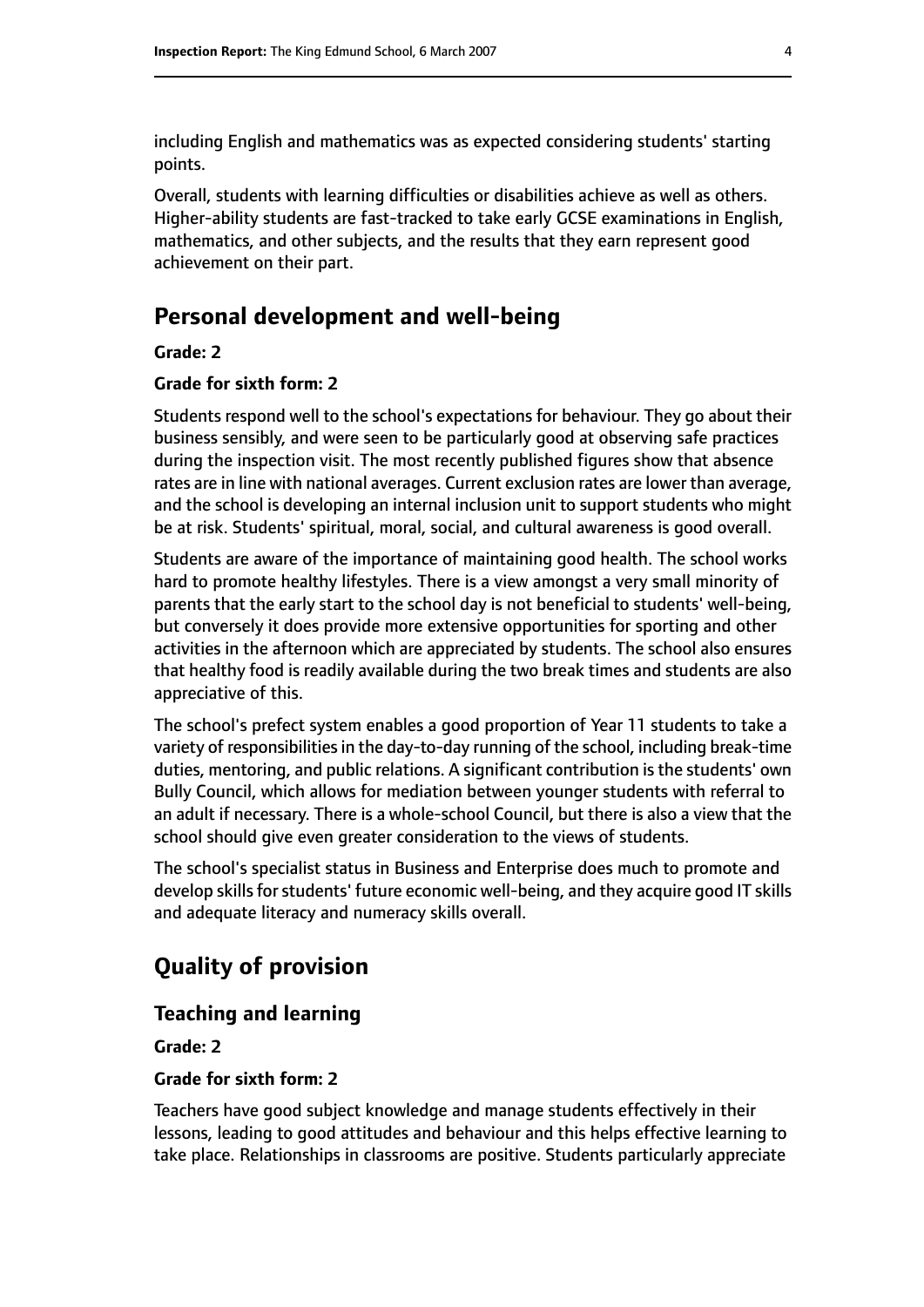including English and mathematics was as expected considering students' starting points.

Overall, students with learning difficulties or disabilities achieve as well as others. Higher-ability students are fast-tracked to take early GCSE examinations in English, mathematics, and other subjects, and the results that they earn represent good achievement on their part.

# **Personal development and well-being**

#### **Grade: 2**

#### **Grade for sixth form: 2**

Students respond well to the school's expectations for behaviour. They go about their business sensibly, and were seen to be particularly good at observing safe practices during the inspection visit. The most recently published figures show that absence rates are in line with national averages. Current exclusion rates are lower than average, and the school is developing an internal inclusion unit to support students who might be at risk. Students' spiritual, moral, social, and cultural awareness is good overall.

Students are aware of the importance of maintaining good health. The school works hard to promote healthy lifestyles. There is a view amongst a very small minority of parents that the early start to the school day is not beneficial to students' well-being, but conversely it does provide more extensive opportunities for sporting and other activities in the afternoon which are appreciated by students. The school also ensures that healthy food is readily available during the two break times and students are also appreciative of this.

The school's prefect system enables a good proportion of Year 11 students to take a variety of responsibilities in the day-to-day running of the school, including break-time duties, mentoring, and public relations. A significant contribution is the students' own Bully Council, which allows for mediation between younger students with referral to an adult if necessary. There is a whole-school Council, but there is also a view that the school should give even greater consideration to the views of students.

The school's specialist status in Business and Enterprise does much to promote and develop skills for students' future economic well-being, and they acquire good IT skills and adequate literacy and numeracy skills overall.

# **Quality of provision**

#### **Teaching and learning**

#### **Grade: 2**

#### **Grade for sixth form: 2**

Teachers have good subject knowledge and manage students effectively in their lessons, leading to good attitudes and behaviour and this helps effective learning to take place. Relationships in classrooms are positive. Students particularly appreciate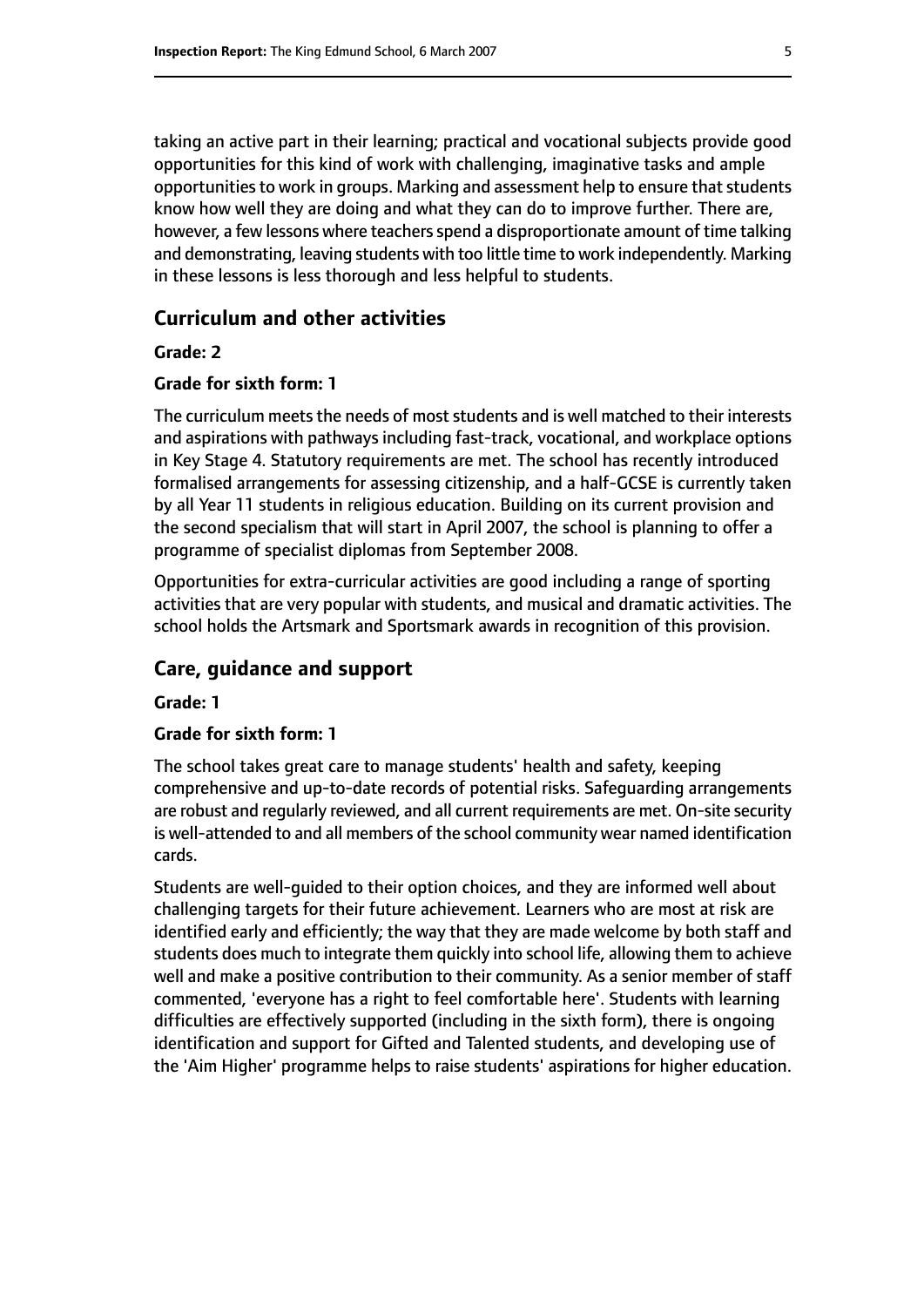taking an active part in their learning; practical and vocational subjects provide good opportunities for this kind of work with challenging, imaginative tasks and ample opportunities to work in groups. Marking and assessment help to ensure that students know how well they are doing and what they can do to improve further. There are, however, a few lessons where teachers spend a disproportionate amount of time talking and demonstrating, leaving students with too little time to work independently. Marking in these lessons is less thorough and less helpful to students.

#### **Curriculum and other activities**

#### **Grade: 2**

#### **Grade for sixth form: 1**

The curriculum meets the needs of most students and is well matched to their interests and aspirations with pathways including fast-track, vocational, and workplace options in Key Stage 4. Statutory requirements are met. The school has recently introduced formalised arrangements for assessing citizenship, and a half-GCSE is currently taken by all Year 11 students in religious education. Building on its current provision and the second specialism that will start in April 2007, the school is planning to offer a programme of specialist diplomas from September 2008.

Opportunities for extra-curricular activities are good including a range of sporting activities that are very popular with students, and musical and dramatic activities. The school holds the Artsmark and Sportsmark awards in recognition of this provision.

#### **Care, guidance and support**

#### **Grade: 1**

#### **Grade for sixth form: 1**

The school takes great care to manage students' health and safety, keeping comprehensive and up-to-date records of potential risks. Safeguarding arrangements are robust and regularly reviewed, and all current requirements are met. On-site security is well-attended to and all members of the school community wear named identification cards.

Students are well-guided to their option choices, and they are informed well about challenging targets for their future achievement. Learners who are most at risk are identified early and efficiently; the way that they are made welcome by both staff and students does much to integrate them quickly into school life, allowing them to achieve well and make a positive contribution to their community. As a senior member of staff commented, 'everyone has a right to feel comfortable here'. Students with learning difficulties are effectively supported (including in the sixth form), there is ongoing identification and support for Gifted and Talented students, and developing use of the 'Aim Higher' programme helps to raise students' aspirations for higher education.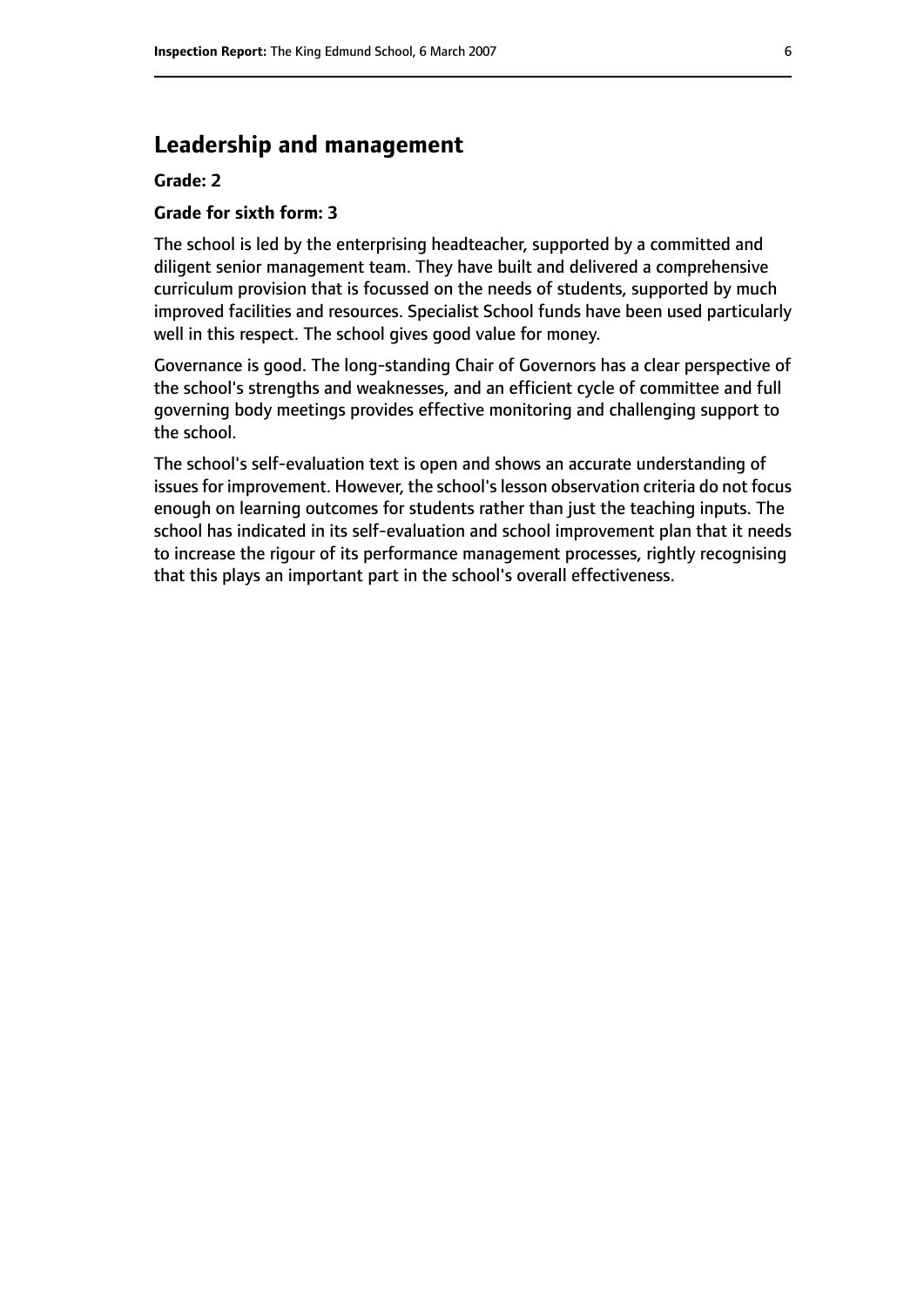# **Leadership and management**

#### **Grade: 2**

#### **Grade for sixth form: 3**

The school is led by the enterprising headteacher, supported by a committed and diligent senior management team. They have built and delivered a comprehensive curriculum provision that is focussed on the needs of students, supported by much improved facilities and resources. Specialist School funds have been used particularly well in this respect. The school gives good value for money.

Governance is good. The long-standing Chair of Governors has a clear perspective of the school's strengths and weaknesses, and an efficient cycle of committee and full governing body meetings provides effective monitoring and challenging support to the school.

The school's self-evaluation text is open and shows an accurate understanding of issues for improvement. However, the school's lesson observation criteria do not focus enough on learning outcomes for students rather than just the teaching inputs. The school has indicated in its self-evaluation and school improvement plan that it needs to increase the rigour of its performance management processes, rightly recognising that this plays an important part in the school's overall effectiveness.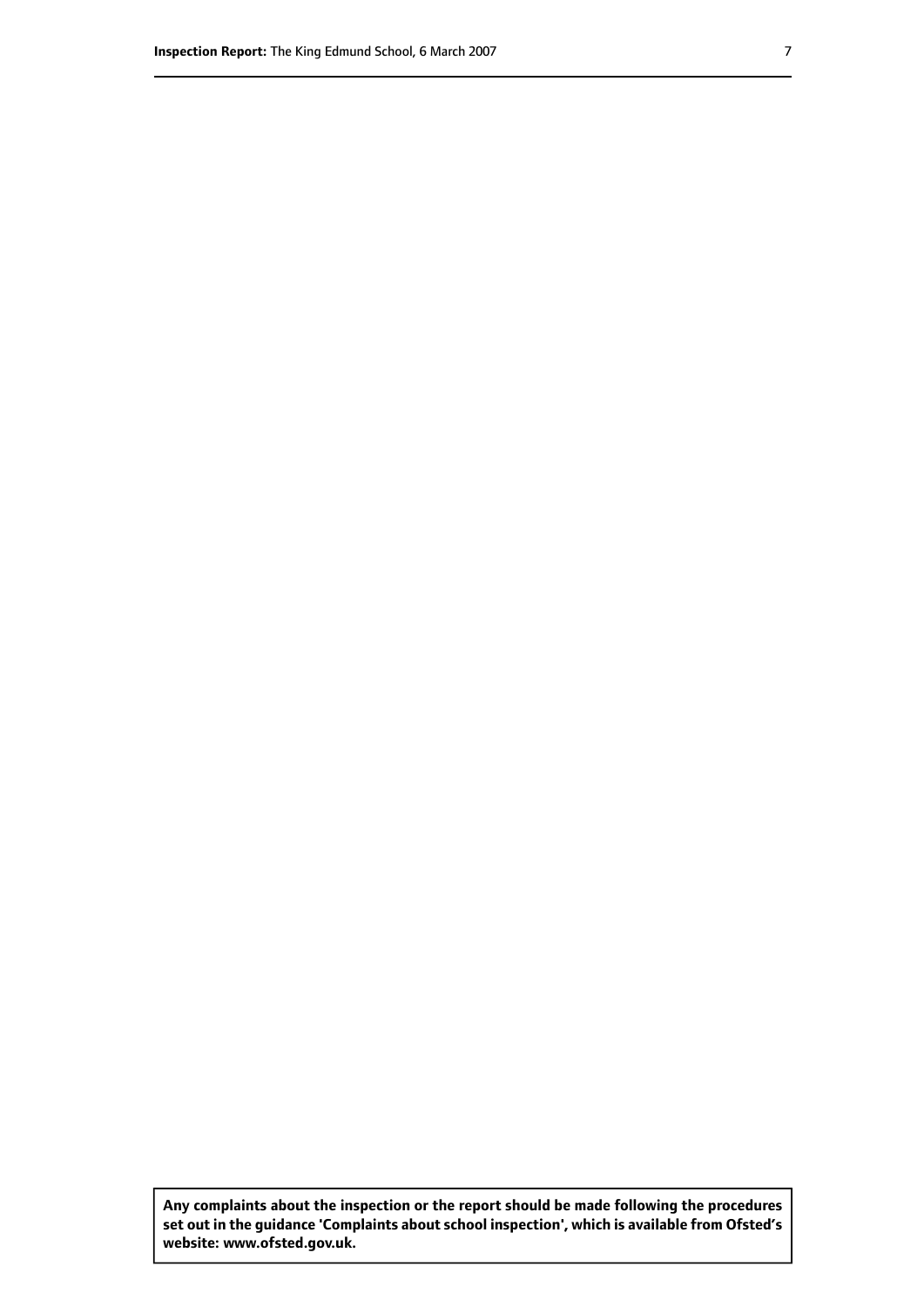**Any complaints about the inspection or the report should be made following the procedures set out inthe guidance 'Complaints about school inspection', whichis available from Ofsted's website: www.ofsted.gov.uk.**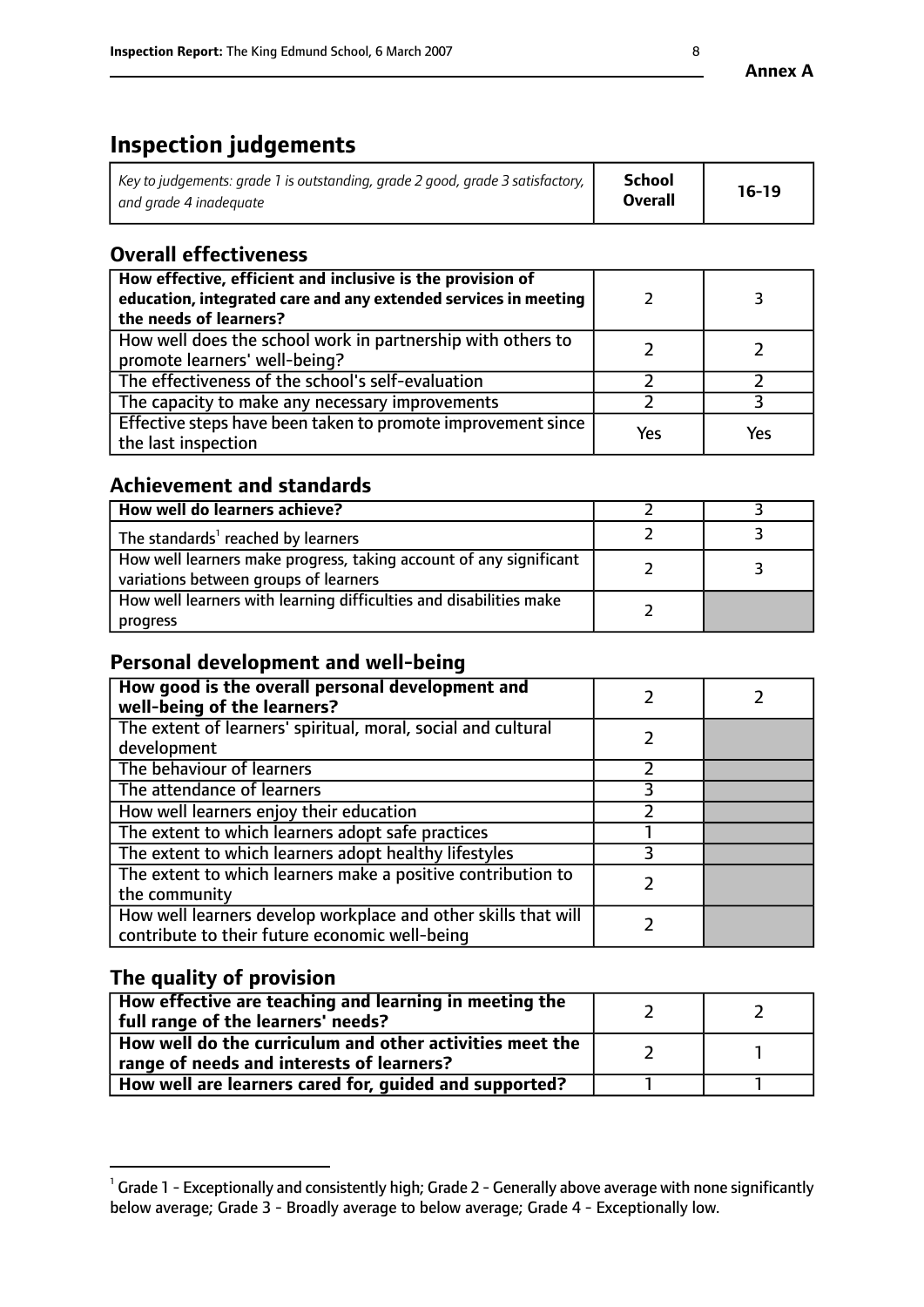# **Inspection judgements**

| Key to judgements: grade 1 is outstanding, grade 2 good, grade 3 satisfactory, $\parallel$ | <b>School</b>  | $16-19$ |
|--------------------------------------------------------------------------------------------|----------------|---------|
| and grade 4 inadeguate                                                                     | <b>Overall</b> |         |

# **Overall effectiveness**

| How effective, efficient and inclusive is the provision of<br>education, integrated care and any extended services in meeting<br>the needs of learners? |     |     |
|---------------------------------------------------------------------------------------------------------------------------------------------------------|-----|-----|
| How well does the school work in partnership with others to<br>promote learners' well-being?                                                            |     |     |
| The effectiveness of the school's self-evaluation                                                                                                       |     |     |
| The capacity to make any necessary improvements                                                                                                         |     |     |
| Effective steps have been taken to promote improvement since<br>the last inspection                                                                     | Yes | Yes |

# **Achievement and standards**

| How well do learners achieve?                                                                               |  |
|-------------------------------------------------------------------------------------------------------------|--|
| The standards <sup>1</sup> reached by learners                                                              |  |
| How well learners make progress, taking account of any significant<br>variations between groups of learners |  |
| How well learners with learning difficulties and disabilities make<br>progress                              |  |

# **Personal development and well-being**

| How good is the overall personal development and<br>well-being of the learners?                                  |  |
|------------------------------------------------------------------------------------------------------------------|--|
| The extent of learners' spiritual, moral, social and cultural<br>development                                     |  |
| The behaviour of learners                                                                                        |  |
| The attendance of learners                                                                                       |  |
| How well learners enjoy their education                                                                          |  |
| The extent to which learners adopt safe practices                                                                |  |
| The extent to which learners adopt healthy lifestyles                                                            |  |
| The extent to which learners make a positive contribution to<br>the community                                    |  |
| How well learners develop workplace and other skills that will<br>contribute to their future economic well-being |  |

# **The quality of provision**

| How effective are teaching and learning in meeting the<br>full range of the learners' needs?          |  |
|-------------------------------------------------------------------------------------------------------|--|
| How well do the curriculum and other activities meet the<br>range of needs and interests of learners? |  |
| How well are learners cared for, guided and supported?                                                |  |

 $^1$  Grade 1 - Exceptionally and consistently high; Grade 2 - Generally above average with none significantly below average; Grade 3 - Broadly average to below average; Grade 4 - Exceptionally low.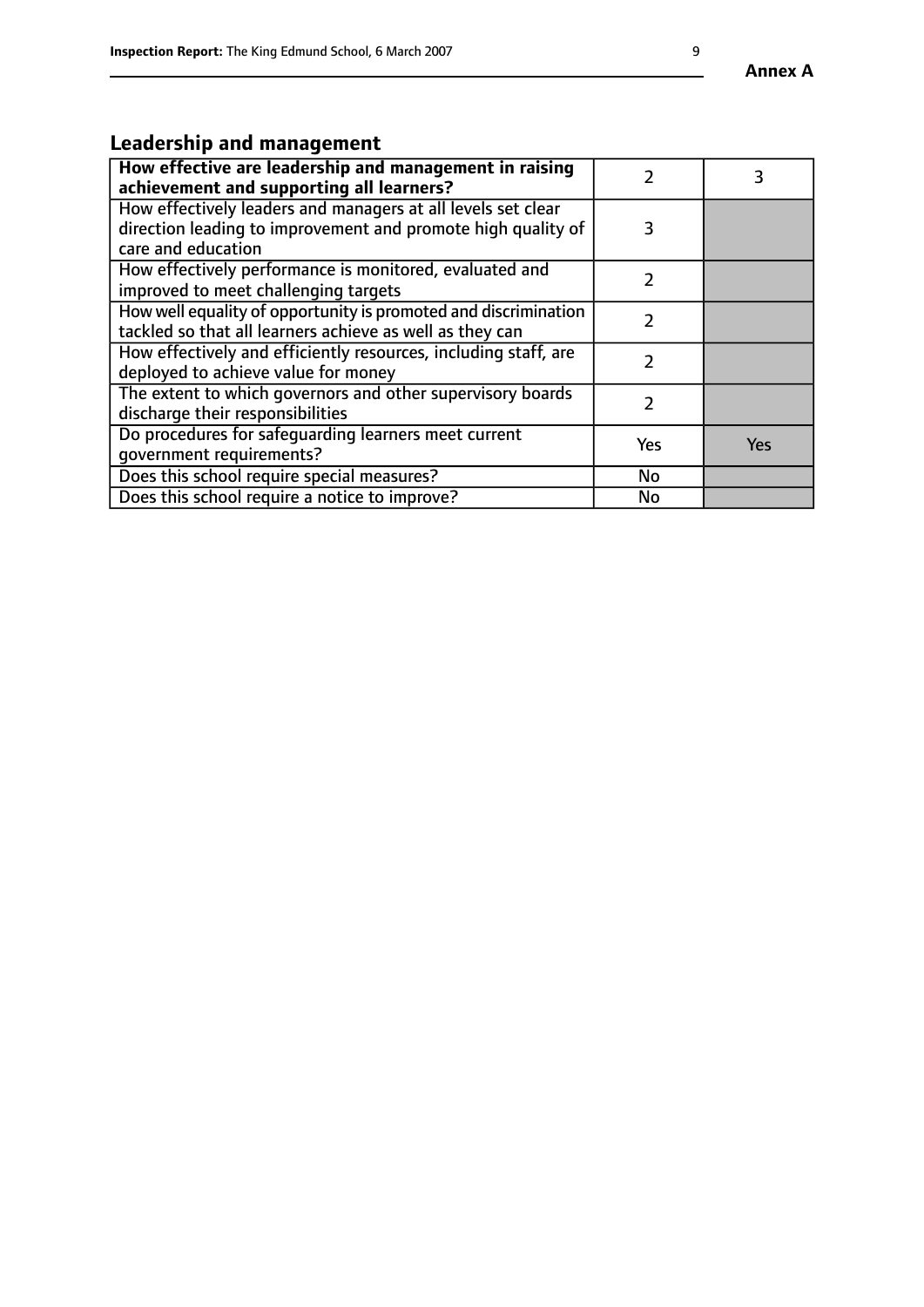# **Leadership and management**

| How effective are leadership and management in raising<br>achievement and supporting all learners?                                                 |     |            |
|----------------------------------------------------------------------------------------------------------------------------------------------------|-----|------------|
| How effectively leaders and managers at all levels set clear<br>direction leading to improvement and promote high quality of<br>care and education | 3   |            |
| How effectively performance is monitored, evaluated and<br>improved to meet challenging targets                                                    |     |            |
| How well equality of opportunity is promoted and discrimination<br>tackled so that all learners achieve as well as they can                        | 2   |            |
| How effectively and efficiently resources, including staff, are<br>deployed to achieve value for money                                             | 7   |            |
| The extent to which governors and other supervisory boards<br>discharge their responsibilities                                                     |     |            |
| Do procedures for safequarding learners meet current<br>qovernment requirements?                                                                   | Yes | <b>Yes</b> |
| Does this school require special measures?                                                                                                         | No  |            |
| Does this school require a notice to improve?                                                                                                      | No  |            |